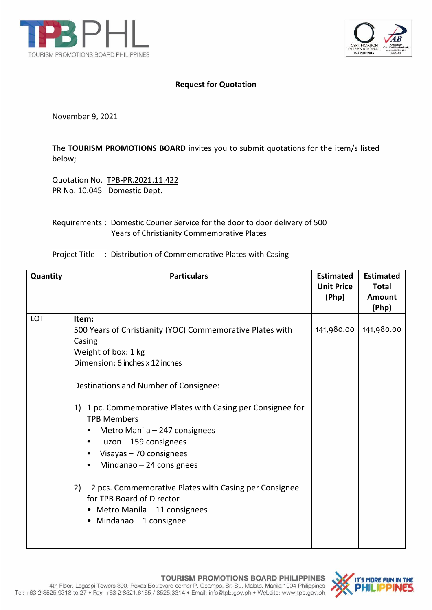



## **Request for Quotation**

November 9, 2021

The **TOURISM PROMOTIONS BOARD** invites you to submit quotations for the item/s listed below;

Quotation No. TPB-PR.2021.11.422 PR No. 10.045 Domestic Dept.

## Requirements : Domestic Courier Service for the door to door delivery of 500 Years of Christianity Commemorative Plates

Project Title : Distribution of Commemorative Plates with Casing

| Quantity   | <b>Particulars</b>                                                                                                                                                                                                                                                                                                                                                                                                                                                                                                                                                                    | <b>Estimated</b><br><b>Unit Price</b><br>(Php) | <b>Estimated</b><br><b>Total</b><br>Amount<br>(Php) |
|------------|---------------------------------------------------------------------------------------------------------------------------------------------------------------------------------------------------------------------------------------------------------------------------------------------------------------------------------------------------------------------------------------------------------------------------------------------------------------------------------------------------------------------------------------------------------------------------------------|------------------------------------------------|-----------------------------------------------------|
| <b>LOT</b> | Item:<br>500 Years of Christianity (YOC) Commemorative Plates with<br>Casing<br>Weight of box: 1 kg<br>Dimension: 6 inches x 12 inches<br>Destinations and Number of Consignee:<br>1 pc. Commemorative Plates with Casing per Consignee for<br>1)<br><b>TPB Members</b><br>Metro Manila - 247 consignees<br>٠<br>Luzon - 159 consignees<br>$\bullet$<br>• Visayas - 70 consignees<br>Mindanao - 24 consignees<br>$\bullet$<br>2 pcs. Commemorative Plates with Casing per Consignee<br>2)<br>for TPB Board of Director<br>• Metro Manila - 11 consignees<br>• Mindanao $-1$ consignee | 141,980.00                                     | 141,980.00                                          |

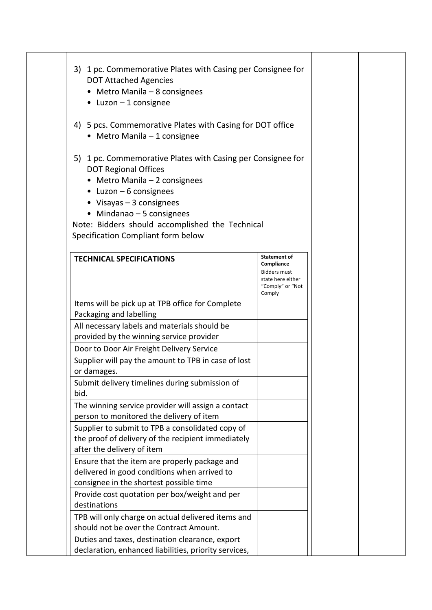| 3) 1 pc. Commemorative Plates with Casing per Consignee for<br><b>DOT Attached Agencies</b><br>• Metro Manila $-8$ consignees<br>$\bullet$ Luzon - 1 consignee                                                                                                                                                            |                                                                                                      |  |
|---------------------------------------------------------------------------------------------------------------------------------------------------------------------------------------------------------------------------------------------------------------------------------------------------------------------------|------------------------------------------------------------------------------------------------------|--|
| 4) 5 pcs. Commemorative Plates with Casing for DOT office<br>• Metro Manila - 1 consignee                                                                                                                                                                                                                                 |                                                                                                      |  |
| 5) 1 pc. Commemorative Plates with Casing per Consignee for<br><b>DOT Regional Offices</b><br>• Metro Manila $-2$ consignees<br>$\bullet$ Luzon - 6 consignees<br>• Visayas $-3$ consignees<br>$\bullet$ Mindanao - 5 consignees<br>Note: Bidders should accomplished the Technical<br>Specification Compliant form below |                                                                                                      |  |
| <b>TECHNICAL SPECIFICATIONS</b>                                                                                                                                                                                                                                                                                           | Statement of<br>Compliance<br><b>Bidders must</b><br>state here either<br>"Comply" or "Not<br>Comply |  |
| Items will be pick up at TPB office for Complete<br>Packaging and labelling                                                                                                                                                                                                                                               |                                                                                                      |  |
| All necessary labels and materials should be<br>provided by the winning service provider                                                                                                                                                                                                                                  |                                                                                                      |  |
| Door to Door Air Freight Delivery Service<br>Supplier will pay the amount to TPB in case of lost<br>or damages.                                                                                                                                                                                                           |                                                                                                      |  |
| Submit delivery timelines during submission of<br>bid.                                                                                                                                                                                                                                                                    |                                                                                                      |  |
| The winning service provider will assign a contact<br>person to monitored the delivery of item                                                                                                                                                                                                                            |                                                                                                      |  |
| Supplier to submit to TPB a consolidated copy of<br>the proof of delivery of the recipient immediately<br>after the delivery of item                                                                                                                                                                                      |                                                                                                      |  |
| Ensure that the item are properly package and<br>delivered in good conditions when arrived to<br>consignee in the shortest possible time                                                                                                                                                                                  |                                                                                                      |  |
| Provide cost quotation per box/weight and per<br>destinations                                                                                                                                                                                                                                                             |                                                                                                      |  |
| TPB will only charge on actual delivered items and<br>should not be over the Contract Amount.                                                                                                                                                                                                                             |                                                                                                      |  |
| Duties and taxes, destination clearance, export<br>declaration, enhanced liabilities, priority services,                                                                                                                                                                                                                  |                                                                                                      |  |